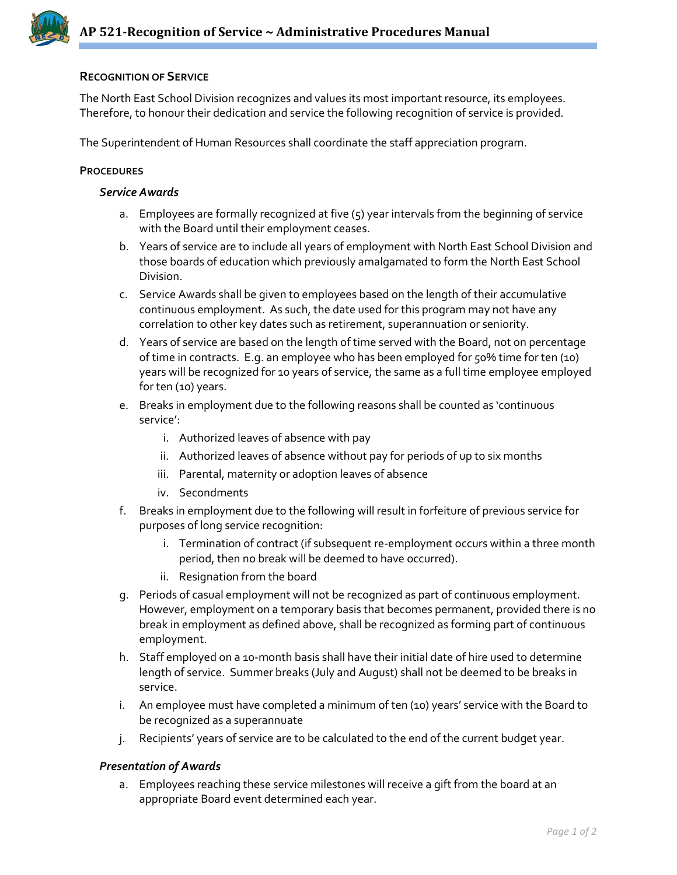

# **RECOGNITION OF SERVICE**

The North East School Division recognizes and values its most important resource, its employees. Therefore, to honour their dedication and service the following recognition of service is provided.

The Superintendent of Human Resources shall coordinate the staff appreciation program.

## **PROCEDURES**

### *Service Awards*

- a. Employees are formally recognized at five (5) year intervals from the beginning of service with the Board until their employment ceases.
- b. Years of service are to include all years of employment with North East School Division and those boards of education which previously amalgamated to form the North East School Division.
- c. Service Awards shall be given to employees based on the length of their accumulative continuous employment. As such, the date used for this program may not have any correlation to other key dates such as retirement, superannuation or seniority.
- d. Years of service are based on the length of time served with the Board, not on percentage of time in contracts. E.g. an employee who has been employed for 50% time for ten (10) years will be recognized for 10 years of service, the same as a full time employee employed for ten (10) years.
- e. Breaks in employment due to the following reasons shall be counted as 'continuous service':
	- i. Authorized leaves of absence with pay
	- ii. Authorized leaves of absence without pay for periods of up to six months
	- iii. Parental, maternity or adoption leaves of absence
	- iv. Secondments
- f. Breaks in employment due to the following will result in forfeiture of previous service for purposes of long service recognition:
	- i. Termination of contract (if subsequent re-employment occurs within a three month period, then no break will be deemed to have occurred).
	- ii. Resignation from the board
- g. Periods of casual employment will not be recognized as part of continuous employment. However, employment on a temporary basis that becomes permanent, provided there is no break in employment as defined above, shall be recognized as forming part of continuous employment.
- h. Staff employed on a 10-month basis shall have their initial date of hire used to determine length of service. Summer breaks (July and August) shall not be deemed to be breaks in service.
- i. An employee must have completed a minimum of ten (10) years' service with the Board to be recognized as a superannuate
- j. Recipients' years of service are to be calculated to the end of the current budget year.

## *Presentation of Awards*

a. Employees reaching these service milestones will receive a gift from the board at an appropriate Board event determined each year.